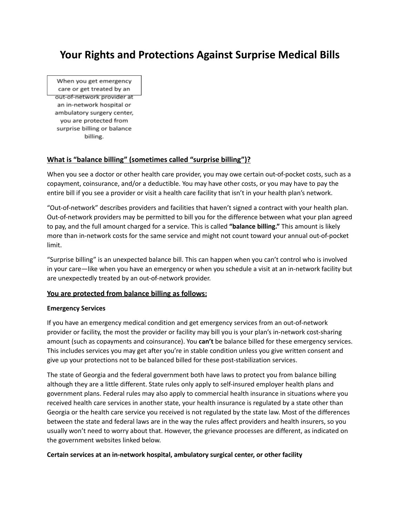# **Your Rights and Protections Against Surprise Medical Bills**

When you get emergency care or get treated by an out-of-network provider at an in-network hospital or ambulatory surgery center, you are protected from surprise billing or balance billing.

# **What is "balance billing" (sometimes called "surprise billing")?**

When you see a doctor or other health care provider, you may owe certain out-of-pocket costs, such as a copayment, coinsurance, and/or a deductible. You may have other costs, or you may have to pay the entire bill if you see a provider or visit a health care facility that isn't in your health plan's network.

"Out-of-network" describes providers and facilities that haven't signed a contract with your health plan. Out-of-network providers may be permitted to bill you for the difference between what your plan agreed to pay, and the full amount charged for a service. This is called **"balance billing."** This amount is likely more than in-network costs for the same service and might not count toward your annual out-of-pocket limit.

"Surprise billing" is an unexpected balance bill. This can happen when you can't control who is involved in your care—like when you have an emergency or when you schedule a visit at an in-network facility but are unexpectedly treated by an out-of-network provider.

## **You are protected from balance billing as follows:**

#### **Emergency Services**

If you have an emergency medical condition and get emergency services from an out-of-network provider or facility, the most the provider or facility may bill you is your plan's in-network cost-sharing amount (such as copayments and coinsurance). You **can't** be balance billed for these emergency services. This includes services you may get after you're in stable condition unless you give written consent and give up your protections not to be balanced billed for these post-stabilization services.

The state of Georgia and the federal government both have laws to protect you from balance billing although they are a little different. State rules only apply to self-insured employer health plans and government plans. Federal rules may also apply to commercial health insurance in situations where you received health care services in another state, your health insurance is regulated by a state other than Georgia or the health care service you received is not regulated by the state law. Most of the differences between the state and federal laws are in the way the rules affect providers and health insurers, so you usually won't need to worry about that. However, the grievance processes are different, as indicated on the government websites linked below.

#### **Certain services at an in-network hospital, ambulatory surgical center, or other facility**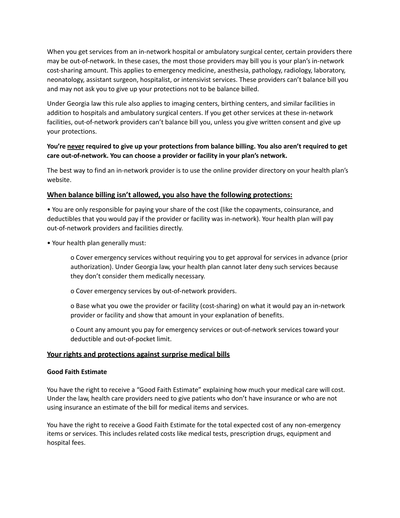When you get services from an in-network hospital or ambulatory surgical center, certain providers there may be out-of-network. In these cases, the most those providers may bill you is your plan's in-network cost-sharing amount. This applies to emergency medicine, anesthesia, pathology, radiology, laboratory, neonatology, assistant surgeon, hospitalist, or intensivist services. These providers can't balance bill you and may not ask you to give up your protections not to be balance billed.

Under Georgia law this rule also applies to imaging centers, birthing centers, and similar facilities in addition to hospitals and ambulatory surgical centers. If you get other services at these in-network facilities, out-of-network providers can't balance bill you, unless you give written consent and give up your protections.

# **You're never required to give up your protections from balance billing. You also aren't required to get care out-of-network. You can choose a provider or facility in your plan's network.**

The best way to find an in-network provider is to use the online provider directory on your health plan's website.

## **When balance billing isn't allowed, you also have the following protections:**

• You are only responsible for paying your share of the cost (like the copayments, coinsurance, and deductibles that you would pay if the provider or facility was in-network). Your health plan will pay out-of-network providers and facilities directly.

• Your health plan generally must:

o Cover emergency services without requiring you to get approval for services in advance (prior authorization). Under Georgia law, your health plan cannot later deny such services because they don't consider them medically necessary.

o Cover emergency services by out-of-network providers.

o Base what you owe the provider or facility (cost-sharing) on what it would pay an in-network provider or facility and show that amount in your explanation of benefits.

o Count any amount you pay for emergency services or out-of-network services toward your deductible and out-of-pocket limit.

## **Your rights and protections against surprise medical bills**

#### **Good Faith Estimate**

You have the right to receive a "Good Faith Estimate" explaining how much your medical care will cost. Under the law, health care providers need to give patients who don't have insurance or who are not using insurance an estimate of the bill for medical items and services.

You have the right to receive a Good Faith Estimate for the total expected cost of any non-emergency items or services. This includes related costs like medical tests, prescription drugs, equipment and hospital fees.